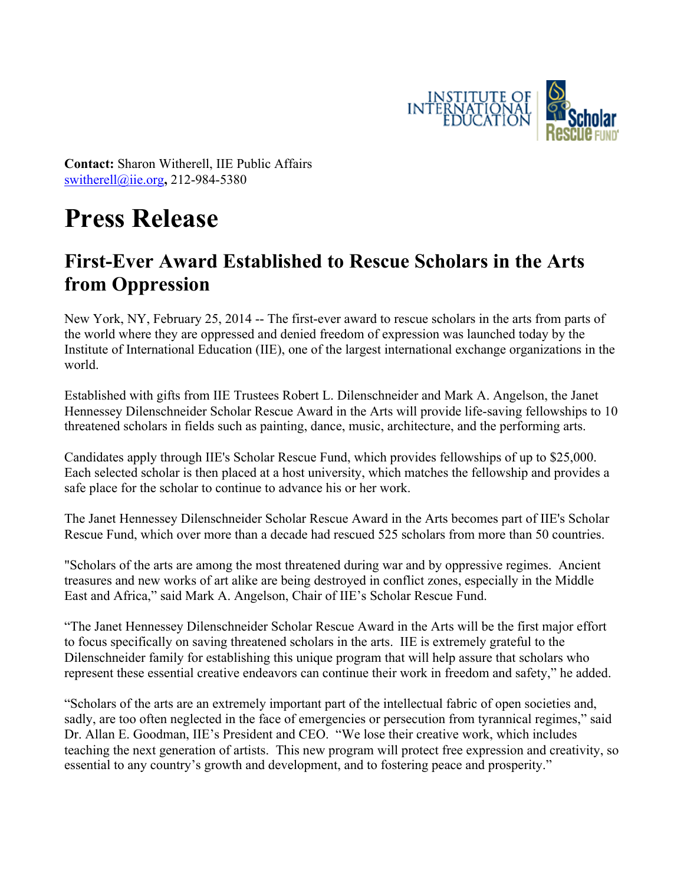

**Contact:** Sharon Witherell, IIE Public Affairs switherell@iie.org**,** 212-984-5380

# **Press Release**

## **First-Ever Award Established to Rescue Scholars in the Arts from Oppression**

New York, NY, February 25, 2014 -- The first-ever award to rescue scholars in the arts from parts of the world where they are oppressed and denied freedom of expression was launched today by the Institute of International Education (IIE), one of the largest international exchange organizations in the world.

Established with gifts from IIE Trustees Robert L. Dilenschneider and Mark A. Angelson, the Janet Hennessey Dilenschneider Scholar Rescue Award in the Arts will provide life-saving fellowships to 10 threatened scholars in fields such as painting, dance, music, architecture, and the performing arts.

Candidates apply through IIE's Scholar Rescue Fund, which provides fellowships of up to \$25,000. Each selected scholar is then placed at a host university, which matches the fellowship and provides a safe place for the scholar to continue to advance his or her work.

The Janet Hennessey Dilenschneider Scholar Rescue Award in the Arts becomes part of IIE's Scholar Rescue Fund, which over more than a decade had rescued 525 scholars from more than 50 countries.

"Scholars of the arts are among the most threatened during war and by oppressive regimes. Ancient treasures and new works of art alike are being destroyed in conflict zones, especially in the Middle East and Africa," said Mark A. Angelson, Chair of IIE's Scholar Rescue Fund.

"The Janet Hennessey Dilenschneider Scholar Rescue Award in the Arts will be the first major effort to focus specifically on saving threatened scholars in the arts. IIE is extremely grateful to the Dilenschneider family for establishing this unique program that will help assure that scholars who represent these essential creative endeavors can continue their work in freedom and safety," he added.

"Scholars of the arts are an extremely important part of the intellectual fabric of open societies and, sadly, are too often neglected in the face of emergencies or persecution from tyrannical regimes," said Dr. Allan E. Goodman, IIE's President and CEO. "We lose their creative work, which includes teaching the next generation of artists. This new program will protect free expression and creativity, so essential to any country's growth and development, and to fostering peace and prosperity."